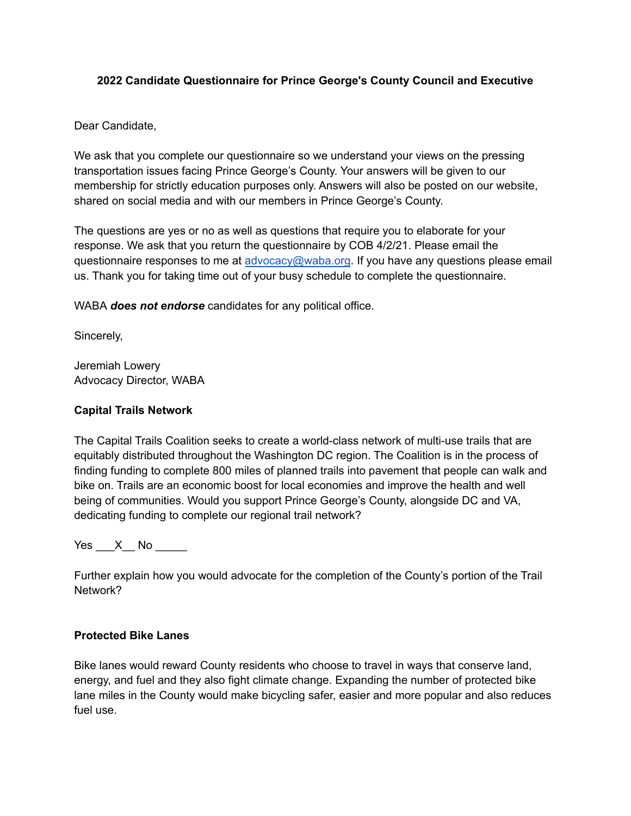# **2022 Candidate Questionnaire for Prince George's County Council and Executive**

Dear Candidate,

We ask that you complete our questionnaire so we understand your views on the pressing transportation issues facing Prince George's County. Your answers will be given to our membership for strictly education purposes only. Answers will also be posted on our website, shared on social media and with our members in Prince George's County.

The questions are yes or no as well as questions that require you to elaborate for your response. We ask that you return the questionnaire by COB 4/2/21. Please email the questionnaire responses to me at [advocacy@waba.org](mailto:advocacy@waba.org). If you have any questions please email us. Thank you for taking time out of your busy schedule to complete the questionnaire.

WABA *does not endorse* candidates for any political office.

Sincerely,

Jeremiah Lowery Advocacy Director, WABA

# **Capital Trails Network**

The Capital Trails Coalition seeks to create a world-class network of multi-use trails that are equitably distributed throughout the Washington DC region. The Coalition is in the process of finding funding to complete 800 miles of planned trails into pavement that people can walk and bike on. Trails are an economic boost for local economies and improve the health and well being of communities. Would you support Prince George's County, alongside DC and VA, dedicating funding to complete our regional trail network?

Yes  $X$  No  $\blacksquare$ 

Further explain how you would advocate for the completion of the County's portion of the Trail Network?

#### **Protected Bike Lanes**

Bike lanes would reward County residents who choose to travel in ways that conserve land, energy, and fuel and they also fight climate change. Expanding the number of protected bike lane miles in the County would make bicycling safer, easier and more popular and also reduces fuel use.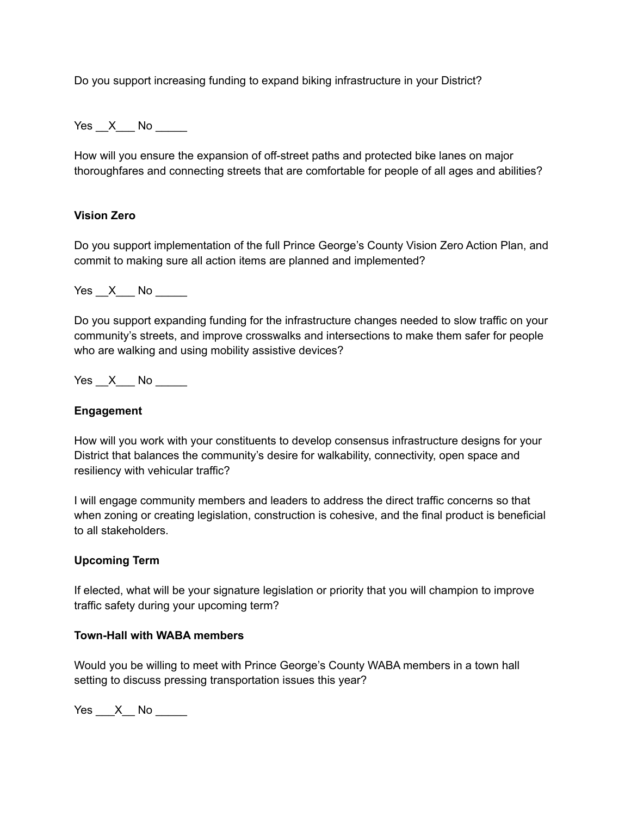Do you support increasing funding to expand biking infrastructure in your District?

Yes X No

How will you ensure the expansion of off-street paths and protected bike lanes on major thoroughfares and connecting streets that are comfortable for people of all ages and abilities?

## **Vision Zero**

Do you support implementation of the full Prince George's County Vision Zero Action Plan, and commit to making sure all action items are planned and implemented?

Yes X No

Do you support expanding funding for the infrastructure changes needed to slow traffic on your community's streets, and improve crosswalks and intersections to make them safer for people who are walking and using mobility assistive devices?

 $Yes \_\ X \_\$  No  $\_\_\_\_\$ 

#### **Engagement**

How will you work with your constituents to develop consensus infrastructure designs for your District that balances the community's desire for walkability, connectivity, open space and resiliency with vehicular traffic?

I will engage community members and leaders to address the direct traffic concerns so that when zoning or creating legislation, construction is cohesive, and the final product is beneficial to all stakeholders.

#### **Upcoming Term**

If elected, what will be your signature legislation or priority that you will champion to improve traffic safety during your upcoming term?

# **Town-Hall with WABA members**

Would you be willing to meet with Prince George's County WABA members in a town hall setting to discuss pressing transportation issues this year?

Yes  $X$  No